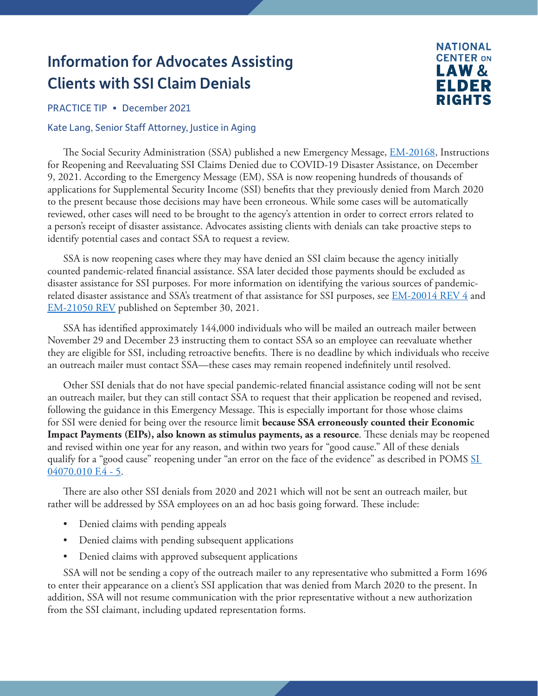## Information for Advocates Assisting Clients with SSI Claim Denials

**NATIONAL CENTER ON** LAW& ELDER **RIGHTS** 

PRACTICE TIP • December 2021

## Kate Lang, Senior Staff Attorney, Justice in Aging

The Social Security Administration (SSA) published a new Emergency Message, [EM-20168](https://secure.ssa.gov/apps10/reference.nsf/lnx/09302021025535PM), Instructions for Reopening and Reevaluating SSI Claims Denied due to COVID-19 Disaster Assistance, on December 9, 2021. According to the Emergency Message (EM), SSA is now reopening hundreds of thousands of applications for Supplemental Security Income (SSI) benefits that they previously denied from March 2020 to the present because those decisions may have been erroneous. While some cases will be automatically reviewed, other cases will need to be brought to the agency's attention in order to correct errors related to a person's receipt of disaster assistance. Advocates assisting clients with denials can take proactive steps to identify potential cases and contact SSA to request a review.

SSA is now reopening cases where they may have denied an SSI claim because the agency initially counted pandemic-related financial assistance. SSA later decided those payments should be excluded as disaster assistance for SSI purposes. For more information on identifying the various sources of pandemicrelated disaster assistance and SSA's treatment of that assistance for SSI purposes, see [EM-20014 REV 4](https://secure.ssa.gov/apps10/reference.nsf/links/09302021025535PMREV4) and [EM-21050 REV](https://secure.ssa.gov/apps10/reference.nsf/links/09302021030344PM) published on September 30, 2021.

SSA has identified approximately 144,000 individuals who will be mailed an outreach mailer between November 29 and December 23 instructing them to contact SSA so an employee can reevaluate whether they are eligible for SSI, including retroactive benefits. There is no deadline by which individuals who receive an outreach mailer must contact SSA—these cases may remain reopened indefinitely until resolved.

Other SSI denials that do not have special pandemic-related financial assistance coding will not be sent an outreach mailer, but they can still contact SSA to request that their application be reopened and revised, following the guidance in this Emergency Message. This is especially important for those whose claims for SSI were denied for being over the resource limit **because SSA erroneously counted their Economic Impact Payments (EIPs), also known as stimulus payments, as a resource**. These denials may be reopened and revised within one year for any reason, and within two years for "good cause." All of these denials qualify for a "good cause" reopening under "an error on the face of the evidence" as described in POMS SI [04070.010 F.4 - 5.](https://secure.ssa.gov/apps10/poms.nsf/lnx/0504070010)

There are also other SSI denials from 2020 and 2021 which will not be sent an outreach mailer, but rather will be addressed by SSA employees on an ad hoc basis going forward. These include:

- Denied claims with pending appeals
- Denied claims with pending subsequent applications
- Denied claims with approved subsequent applications

SSA will not be sending a copy of the outreach mailer to any representative who submitted a Form 1696 to enter their appearance on a client's SSI application that was denied from March 2020 to the present. In addition, SSA will not resume communication with the prior representative without a new authorization from the SSI claimant, including updated representation forms.